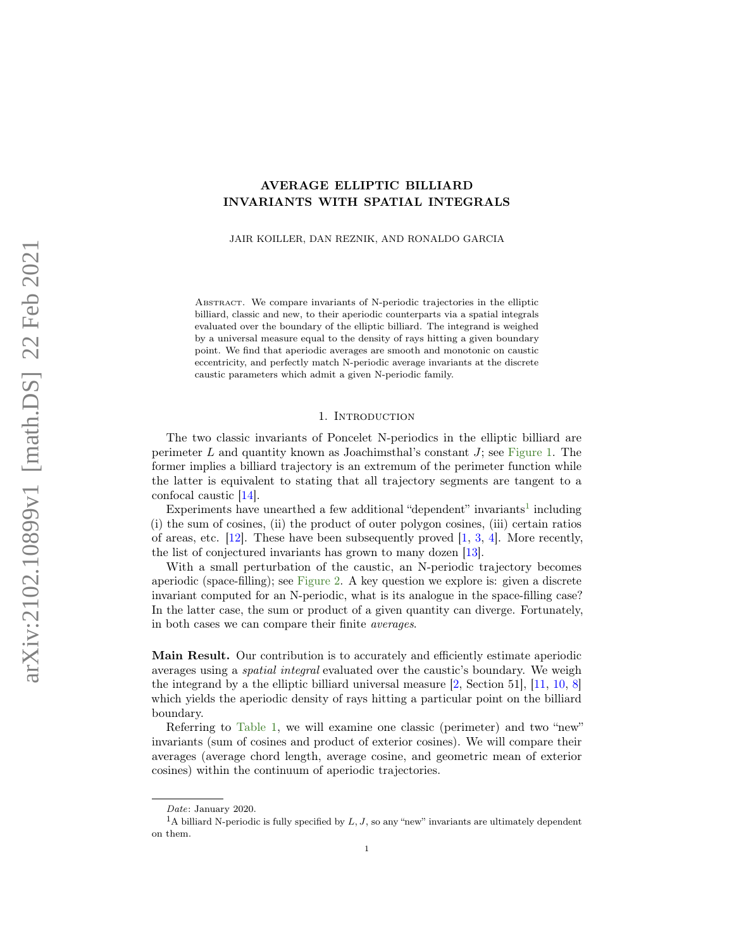# <span id="page-0-1"></span>AVERAGE ELLIPTIC BILLIARD INVARIANTS WITH SPATIAL INTEGRALS

JAIR KOILLER, DAN REZNIK, AND RONALDO GARCIA

ABSTRACT. We compare invariants of N-periodic trajectories in the elliptic billiard, classic and new, to their aperiodic counterparts via a spatial integrals evaluated over the boundary of the elliptic billiard. The integrand is weighed by a universal measure equal to the density of rays hitting a given boundary point. We find that aperiodic averages are smooth and monotonic on caustic eccentricity, and perfectly match N-periodic average invariants at the discrete caustic parameters which admit a given N-periodic family.

### 1. INTRODUCTION

The two classic invariants of Poncelet N-periodics in the elliptic billiard are perimeter L and quantity known as Joachimsthal's constant  $J$ ; see [Figure 1.](#page-1-0) The former implies a billiard trajectory is an extremum of the perimeter function while the latter is equivalent to stating that all trajectory segments are tangent to a confocal caustic [\[14\]](#page-8-0).

Experiments have unearthed a few additional "dependent" invariants<sup>[1](#page-0-0)</sup> including (i) the sum of cosines, (ii) the product of outer polygon cosines, (iii) certain ratios of areas, etc.  $[12]$ . These have been subsequently proved  $[1, 3, 4]$  $[1, 3, 4]$  $[1, 3, 4]$  $[1, 3, 4]$  $[1, 3, 4]$ . More recently, the list of conjectured invariants has grown to many dozen [\[13\]](#page-8-5).

With a small perturbation of the caustic, an N-periodic trajectory becomes aperiodic (space-filling); see [Figure 2.](#page-1-1) A key question we explore is: given a discrete invariant computed for an N-periodic, what is its analogue in the space-filling case? In the latter case, the sum or product of a given quantity can diverge. Fortunately, in both cases we can compare their finite averages.

Main Result. Our contribution is to accurately and efficiently estimate aperiodic averages using a spatial integral evaluated over the caustic's boundary. We weigh the integrand by a the elliptic billiard universal measure [\[2,](#page-8-6) Section 51], [\[11,](#page-8-7) [10,](#page-8-8) [8\]](#page-8-9) which yields the aperiodic density of rays hitting a particular point on the billiard boundary.

Referring to [Table 1,](#page-1-2) we will examine one classic (perimeter) and two "new" invariants (sum of cosines and product of exterior cosines). We will compare their averages (average chord length, average cosine, and geometric mean of exterior cosines) within the continuum of aperiodic trajectories.

<span id="page-0-0"></span>Date: January 2020.

<sup>&</sup>lt;sup>1</sup>A billiard N-periodic is fully specified by  $L, J$ , so any "new" invariants are ultimately dependent on them.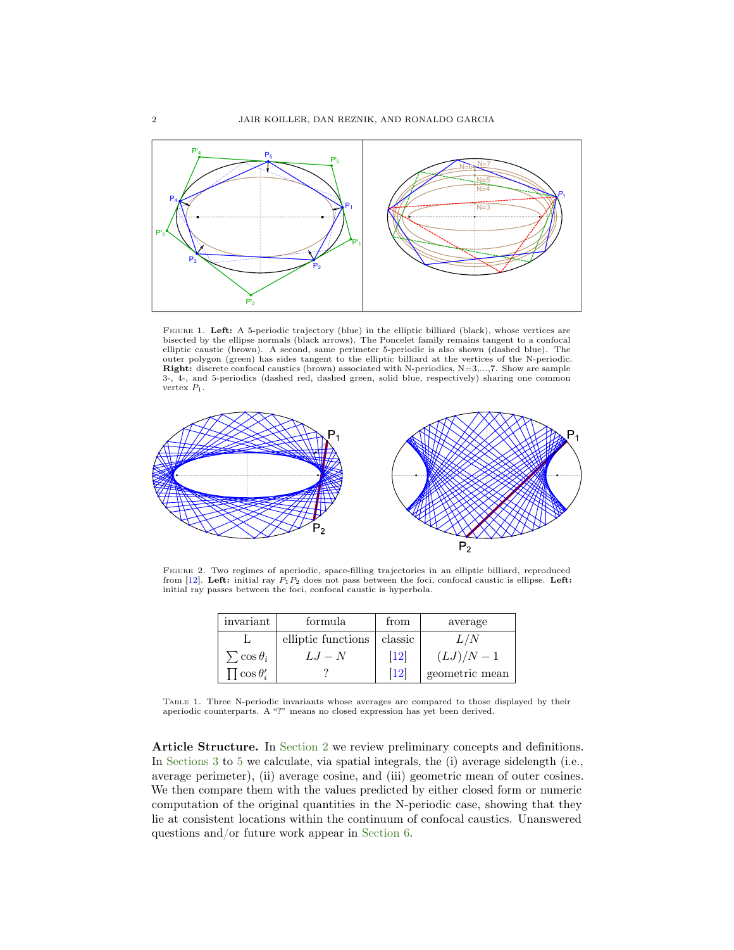<span id="page-1-3"></span><span id="page-1-0"></span>

Figure 1. Left: A 5-periodic trajectory (blue) in the elliptic billiard (black), whose vertices are bisected by the ellipse normals (black arrows). The Poncelet family remains tangent to a confocal elliptic caustic (brown). A second, same perimeter 5-periodic is also shown (dashed blue). The outer polygon (green) has sides tangent to the elliptic billiard at the vertices of the N-periodic. Right: discrete confocal caustics (brown) associated with N-periodics, N=3,...,7. Show are sample 3-, 4-, and 5-periodics (dashed red, dashed green, solid blue, respectively) sharing one common vertex  $P_1$ .

<span id="page-1-1"></span>

<span id="page-1-2"></span>Figure 2. Two regimes of aperiodic, space-filling trajectories in an elliptic billiard, reproduced from [\[12\]](#page-8-1). Left: initial ray  $P_1P_2$  does not pass between the foci, confocal caustic is ellipse. Left: initial ray passes between the foci, confocal caustic is hyperbola.

| invariant               | formula            | from              | average        |
|-------------------------|--------------------|-------------------|----------------|
|                         | elliptic functions | classic           | L/N            |
| $\sum$ cos $\theta_i$   | $LJ-N$             | $\left[12\right]$ | $(LJ)/N-1$     |
| $\prod$ cos $\theta_i'$ |                    | 12                | geometric mean |

Table 1. Three N-periodic invariants whose averages are compared to those displayed by their aperiodic counterparts. A "?" means no closed expression has yet been derived.

Article Structure. In [Section 2](#page-2-0) we review preliminary concepts and definitions. In [Sections 3](#page-3-0) to [5](#page-6-0) we calculate, via spatial integrals, the (i) average sidelength (i.e., average perimeter), (ii) average cosine, and (iii) geometric mean of outer cosines. We then compare them with the values predicted by either closed form or numeric computation of the original quantities in the N-periodic case, showing that they lie at consistent locations within the continuum of confocal caustics. Unanswered questions and/or future work appear in [Section 6.](#page-7-0)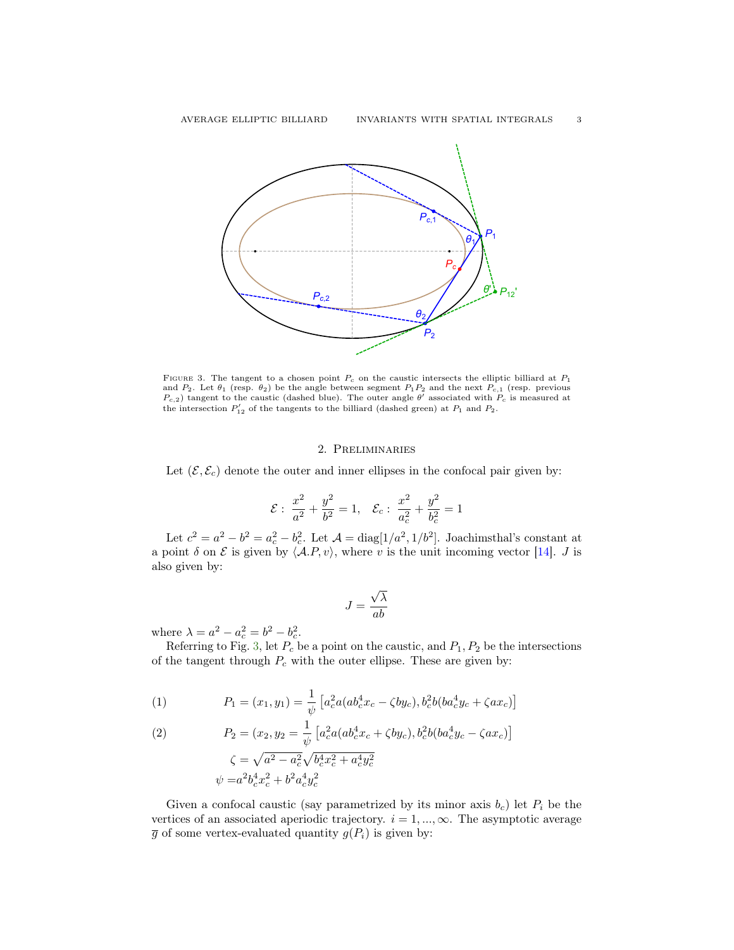<span id="page-2-4"></span><span id="page-2-1"></span>

FIGURE 3. The tangent to a chosen point  $P_c$  on the caustic intersects the elliptic billiard at  $P_1$ and  $P_2$ . Let  $\theta_1$  (resp.  $\theta_2$ ) be the angle between segment  $P_1P_2$  and the next  $P_{c,1}$  (resp. previous  $P_{c,2}$ ) tangent to the caustic (dashed blue). The outer angle  $\theta'$  associated with  $P_c$  is measured at the intersection  $P'_{12}$  of the tangents to the billiard (dashed green) at  $P_1$  and  $P_2$ .

## 2. Preliminaries

<span id="page-2-0"></span>Let  $(\mathcal{E}, \mathcal{E}_c)$  denote the outer and inner ellipses in the confocal pair given by:

$$
\mathcal{E}: \ \frac{x^2}{a^2} + \frac{y^2}{b^2} = 1, \quad \mathcal{E}_c: \ \frac{x^2}{a_c^2} + \frac{y^2}{b_c^2} = 1
$$

Let  $c^2 = a^2 - b^2 = a_c^2 - b_c^2$ . Let  $\mathcal{A} = \text{diag}[1/a^2, 1/b^2]$ . Joachimsthal's constant at a point  $\delta$  on  $\mathcal E$  is given by  $\langle A.P, v \rangle$ , where v is the unit incoming vector [\[14\]](#page-8-0). J is also given by:

$$
J = \frac{\sqrt{\lambda}}{ab}
$$

where  $\lambda = a^2 - a_c^2 = b^2 - b_c^2$ .

Referring to Fig. [3,](#page-2-1) let  $P_c$  be a point on the caustic, and  $P_1, P_2$  be the intersections of the tangent through  $P_c$  with the outer ellipse. These are given by:

<span id="page-2-2"></span>(1) 
$$
P_1 = (x_1, y_1) = \frac{1}{\psi} \left[ a_c^2 a (ab_c^4 x_c - \zeta b y_c), b_c^2 b (ba_c^4 y_c + \zeta a x_c) \right]
$$

<span id="page-2-3"></span>(2) 
$$
P_2 = (x_2, y_2 = \frac{1}{\psi} \left[ a_c^2 a (ab_c^4 x_c + \zeta b y_c), b_c^2 b (ba_c^4 y_c - \zeta a x_c) \right]
$$

$$
\zeta = \sqrt{a^2 - a_c^2} \sqrt{b_c^4 x_c^2 + a_c^4 y_c^2}
$$

$$
\psi = a^2 b_c^4 x_c^2 + b^2 a_c^4 y_c^2
$$

Given a confocal caustic (say parametrized by its minor axis  $b_c$ ) let  $P_i$  be the vertices of an associated aperiodic trajectory.  $i = 1, ..., \infty$ . The asymptotic average  $\overline{g}$  of some vertex-evaluated quantity  $g(P_i)$  is given by: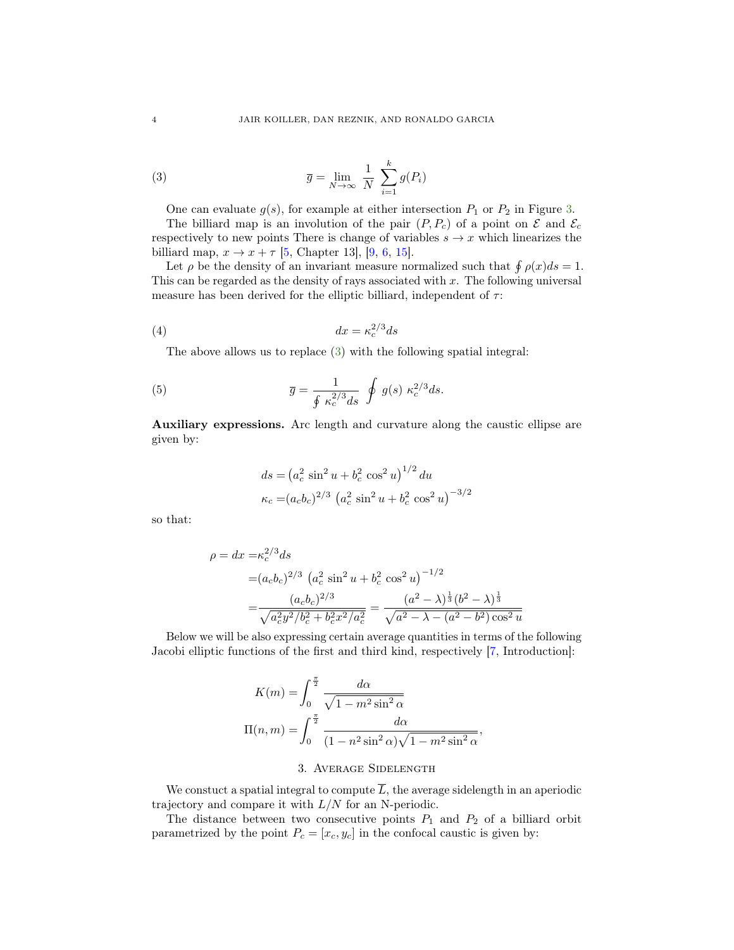<span id="page-3-3"></span>(3) 
$$
\overline{g} = \lim_{N \to \infty} \frac{1}{N} \sum_{i=1}^{k} g(P_i)
$$

<span id="page-3-1"></span>One can evaluate  $g(s)$ , for example at either intersection  $P_1$  or  $P_2$  in Figure [3.](#page-2-1)

The billiard map is an involution of the pair  $(P, P_c)$  of a point on  $\mathcal E$  and  $\mathcal E_c$ respectively to new points There is change of variables  $s \to x$  which linearizes the billiard map,  $x \to x + \tau$  [\[5,](#page-8-10) Chapter 13], [\[9,](#page-8-11) [6,](#page-8-12) [15\]](#page-8-13).

Let  $\rho$  be the density of an invariant measure normalized such that  $\oint \rho(x)ds = 1$ . This can be regarded as the density of rays associated with  $x$ . The following universal measure has been derived for the elliptic billiard, independent of  $\tau$ :

$$
(4) \t\t dx = \kappa_c^{2/3} ds
$$

The above allows us to replace [\(3\)](#page-3-1) with the following spatial integral:

(5) 
$$
\overline{g} = \frac{1}{\oint \kappa_c^{2/3} ds} \oint g(s) \kappa_c^{2/3} ds.
$$

Auxiliary expressions. Arc length and curvature along the caustic ellipse are given by:

<span id="page-3-2"></span>
$$
ds = (a_c^2 \sin^2 u + b_c^2 \cos^2 u)^{1/2} du
$$
  

$$
\kappa_c = (a_c b_c)^{2/3} (a_c^2 \sin^2 u + b_c^2 \cos^2 u)^{-3/2}
$$

so that:

$$
\rho = dx = \kappa_c^{2/3} ds
$$
  
=  $(a_c b_c)^{2/3} (a_c^2 \sin^2 u + b_c^2 \cos^2 u)^{-1/2}$   
=  $\frac{(a_c b_c)^{2/3}}{\sqrt{a_c^2 y^2/b_c^2 + b_c^2 x^2/a_c^2}} = \frac{(a^2 - \lambda)^{\frac{1}{3}} (b^2 - \lambda)^{\frac{1}{3}}}{\sqrt{a^2 - \lambda - (a^2 - b^2) \cos^2 u}}$ 

Below we will be also expressing certain average quantities in terms of the following Jacobi elliptic functions of the first and third kind, respectively [\[7,](#page-8-14) Introduction]:

$$
K(m) = \int_0^{\frac{\pi}{2}} \frac{d\alpha}{\sqrt{1 - m^2 \sin^2 \alpha}}
$$

$$
\Pi(n, m) = \int_0^{\frac{\pi}{2}} \frac{d\alpha}{(1 - n^2 \sin^2 \alpha)\sqrt{1 - m^2 \sin^2 \alpha}},
$$

### 3. Average Sidelength

<span id="page-3-0"></span>We constuct a spatial integral to compute  $\overline{L}$ , the average sidelength in an aperiodic trajectory and compare it with  $L/N$  for an N-periodic.

The distance between two consecutive points  $P_1$  and  $P_2$  of a billiard orbit parametrized by the point  $P_c = [x_c, y_c]$  in the confocal caustic is given by: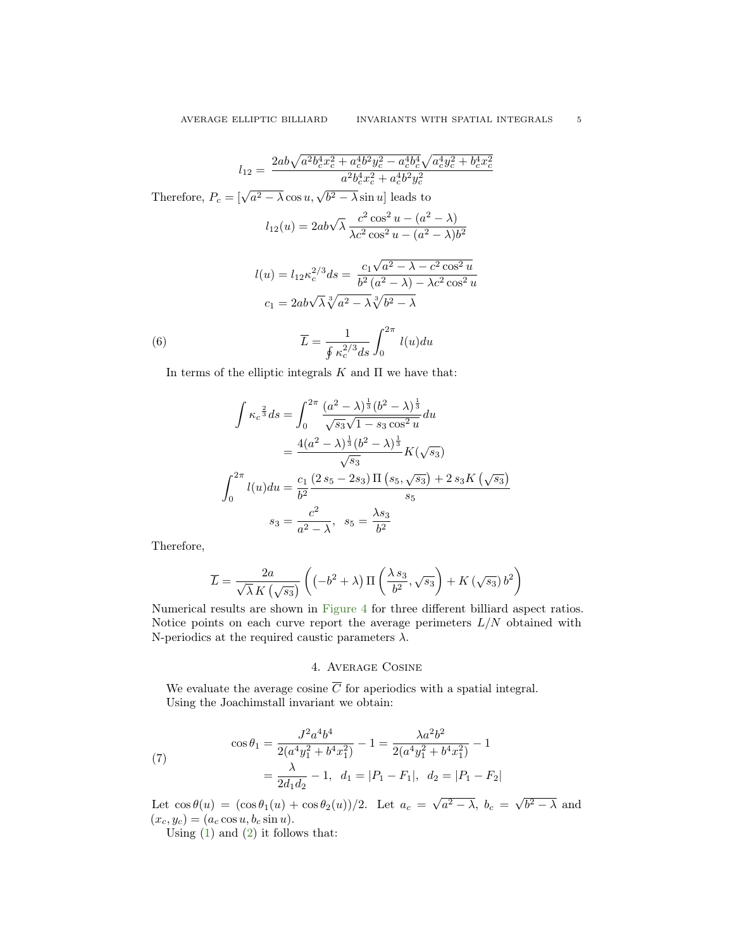$$
l_{12} = \frac{2ab\sqrt{a^2b_c^4x_c^2 + a_c^4b^2y_c^2 - a_c^4b_c^4}\sqrt{a_c^4y_c^2 + b_c^4x_c^2}}{a^2b_c^4x_c^2 + a_c^4b^2y_c^2}
$$
  
Therefore,  $P_c = [\sqrt{a^2 - \lambda} \cos u, \sqrt{b^2 - \lambda} \sin u]$  leads to  

$$
l_{12}(u) = 2ab\sqrt{\lambda} \frac{c^2 \cos^2 u - (a^2 - \lambda)}{\lambda c^2 \cos^2 u - (a^2 - \lambda)b^2}
$$

$$
l(u) = l_{12}\kappa_c^{2/3}ds = \frac{c_1\sqrt{a^2 - \lambda - c^2 \cos^2 u}}{b^2(a^2 - \lambda) - \lambda c^2 \cos^2 u}
$$

$$
c_1 = 2ab\sqrt{\lambda}\sqrt[3]{a^2 - \lambda}\sqrt[3]{b^2 - \lambda}
$$

$$
\overline{L} = \frac{1}{\oint \kappa_c^{2/3}ds} \int_0^{2\pi} l(u) du
$$

In terms of the elliptic integrals  $K$  and  $\Pi$  we have that:

$$
\int \kappa_c^{\frac{2}{3}} ds = \int_0^{2\pi} \frac{(a^2 - \lambda)^{\frac{1}{3}} (b^2 - \lambda)^{\frac{1}{3}}}{\sqrt{s_3} \sqrt{1 - s_3 \cos^2 u}} du
$$
  
= 
$$
\frac{4(a^2 - \lambda)^{\frac{1}{3}} (b^2 - \lambda)^{\frac{1}{3}}}{\sqrt{s_3}} K(\sqrt{s_3})
$$
  

$$
\int_0^{2\pi} l(u) du = \frac{c_1}{b^2} \frac{(2s_5 - 2s_3) \Pi (s_5, \sqrt{s_3}) + 2s_3 K (\sqrt{s_3})}{s_5}
$$
  

$$
s_3 = \frac{c^2}{a^2 - \lambda}, \quad s_5 = \frac{\lambda s_3}{b^2}
$$

Therefore,

$$
\overline{L} = \frac{2a}{\sqrt{\lambda} K \left(\sqrt{s_3}\right)} \left( \left(-b^2 + \lambda\right) \Pi \left(\frac{\lambda s_3}{b^2}, \sqrt{s_3}\right) + K \left(\sqrt{s_3}\right) b^2 \right)
$$

Numerical results are shown in [Figure 4](#page-5-0) for three different billiard aspect ratios. Notice points on each curve report the average perimeters  $L/N$  obtained with N-periodics at the required caustic parameters  $\lambda$ .

# 4. Average Cosine

We evaluate the average cosine  $\overline{C}$  for aperiodics with a spatial integral. Using the Joachimstall invariant we obtain:

(7) 
$$
\cos \theta_1 = \frac{J^2 a^4 b^4}{2(a^4 y_1^2 + b^4 x_1^2)} - 1 = \frac{\lambda a^2 b^2}{2(a^4 y_1^2 + b^4 x_1^2)} - 1
$$

$$
= \frac{\lambda}{2d_1 d_2} - 1, \ d_1 = |P_1 - F_1|, \ d_2 = |P_1 - F_2|
$$

Let  $\cos \theta(u) = (\cos \theta_1(u) + \cos \theta_2(u))/2$ . Let  $a_c =$  $\overline{a^2-\lambda},\ b_c\ =\ \sqrt{\phantom{a}}$  $b^2 - \lambda$  and  $(x_c, y_c) = (a_c \cos u, b_c \sin u).$ 

Using  $(1)$  and  $(2)$  it follows that: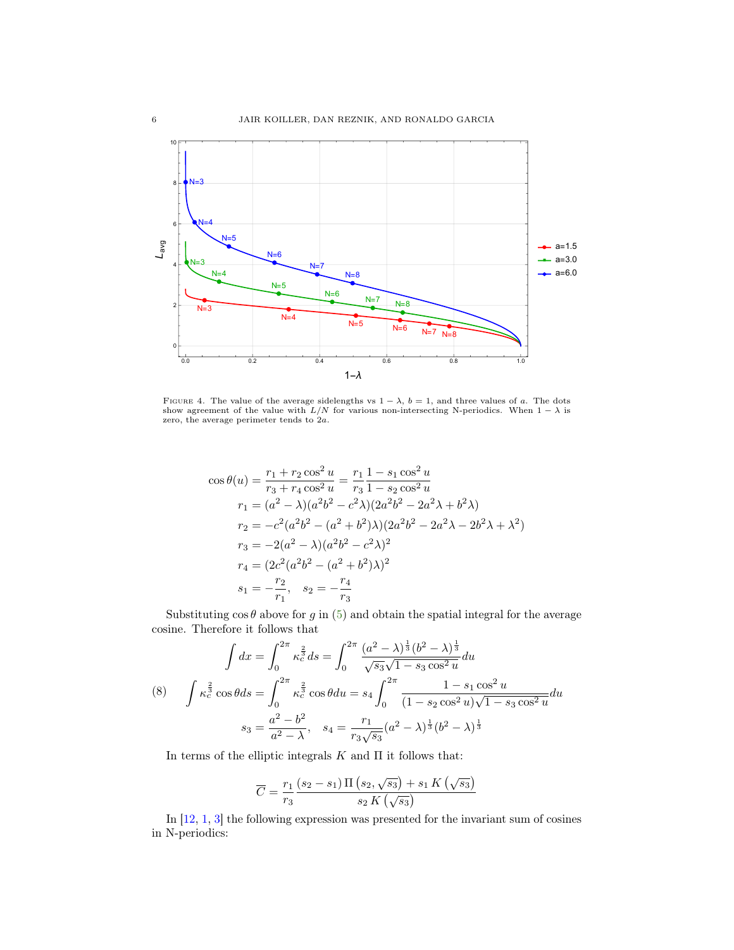<span id="page-5-1"></span><span id="page-5-0"></span>

FIGURE 4. The value of the average sidelengths vs  $1 - \lambda$ ,  $b = 1$ , and three values of a. The dots show agreement of the value with  $L/N$  for various non-intersecting N-periodics. When  $1 - \lambda$  is zero, the average perimeter tends to 2a.

$$
\cos \theta(u) = \frac{r_1 + r_2 \cos^2 u}{r_3 + r_4 \cos^2 u} = \frac{r_1}{r_3} \frac{1 - s_1 \cos^2 u}{1 - s_2 \cos^2 u}
$$
  
\n
$$
r_1 = (a^2 - \lambda)(a^2 b^2 - c^2 \lambda)(2a^2 b^2 - 2a^2 \lambda + b^2 \lambda)
$$
  
\n
$$
r_2 = -c^2 (a^2 b^2 - (a^2 + b^2) \lambda)(2a^2 b^2 - 2a^2 \lambda - 2b^2 \lambda + \lambda^2)
$$
  
\n
$$
r_3 = -2(a^2 - \lambda)(a^2 b^2 - c^2 \lambda)^2
$$
  
\n
$$
r_4 = (2c^2 (a^2 b^2 - (a^2 + b^2) \lambda)^2)
$$
  
\n
$$
s_1 = -\frac{r_2}{r_1}, \quad s_2 = -\frac{r_4}{r_3}
$$

Substituting  $\cos \theta$  above for g in [\(5\)](#page-3-2) and obtain the spatial integral for the average cosine. Therefore it follows that

$$
\int dx = \int_0^{2\pi} \kappa_c^{\frac{2}{3}} ds = \int_0^{2\pi} \frac{(a^2 - \lambda)^{\frac{1}{3}} (b^2 - \lambda)^{\frac{1}{3}}}{\sqrt{s_3} \sqrt{1 - s_3 \cos^2 u}} du
$$
\n
$$
(8) \quad \int \kappa_c^{\frac{2}{3}} \cos \theta ds = \int_0^{2\pi} \kappa_c^{\frac{2}{3}} \cos \theta du = s_4 \int_0^{2\pi} \frac{1 - s_1 \cos^2 u}{(1 - s_2 \cos^2 u) \sqrt{1 - s_3 \cos^2 u}} du
$$
\n
$$
s_3 = \frac{a^2 - b^2}{a^2 - \lambda}, \quad s_4 = \frac{r_1}{r_3 \sqrt{s_3}} (a^2 - \lambda)^{\frac{1}{3}} (b^2 - \lambda)^{\frac{1}{3}}
$$

In terms of the elliptic integrals  $K$  and  $\Pi$  it follows that:

$$
\overline{C} = \frac{r_1}{r_3} \frac{(s_2 - s_1) \Pi \left(s_2, \sqrt{s_3}\right) + s_1 K \left(\sqrt{s_3}\right)}{s_2 K \left(\sqrt{s_3}\right)}
$$

In [\[12,](#page-8-1) [1,](#page-8-2) [3\]](#page-8-3) the following expression was presented for the invariant sum of cosines in N-periodics: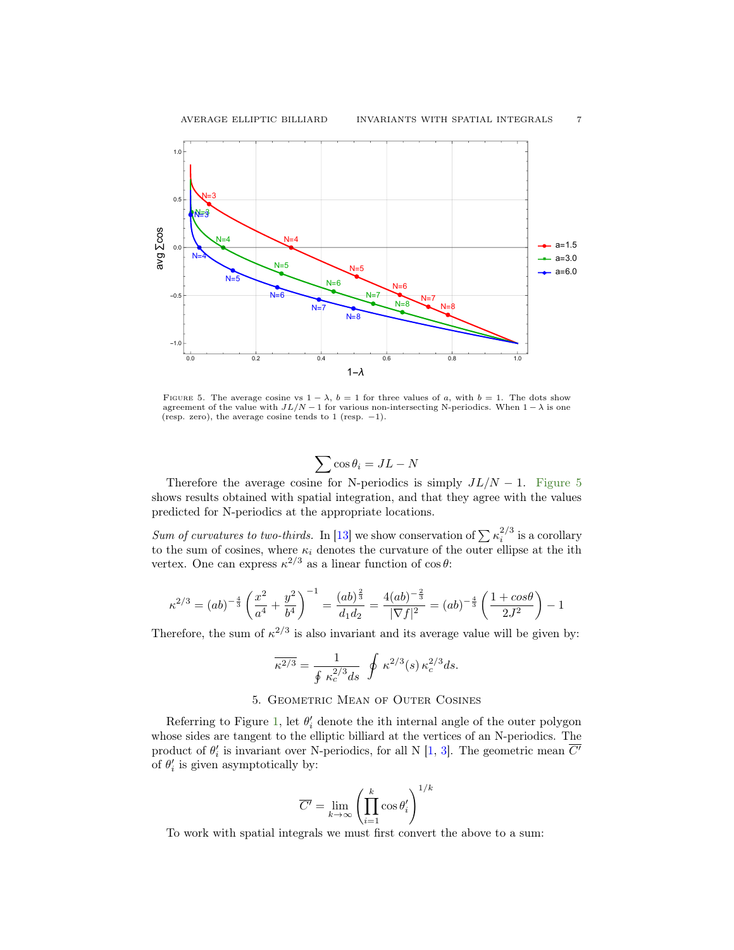<span id="page-6-2"></span><span id="page-6-1"></span>

FIGURE 5. The average cosine vs  $1 - \lambda$ ,  $b = 1$  for three values of a, with  $b = 1$ . The dots show agreement of the value with  $JL/N - 1$  for various non-intersecting N-periodics. When  $1 - \lambda$  is one (resp. zero), the average cosine tends to 1 (resp. −1).

$$
\sum \cos \theta_i = JL - N
$$

Therefore the average cosine for N-periodics is simply  $JL/N - 1$ . [Figure 5](#page-6-1) shows results obtained with spatial integration, and that they agree with the values predicted for N-periodics at the appropriate locations.

Sum of curvatures to two-thirds. In [\[13\]](#page-8-5) we show conservation of  $\sum_{i} k_i^{2/3}$  is a corollary to the sum of cosines, where  $\kappa_i$  denotes the curvature of the outer ellipse at the ith vertex. One can express  $\kappa^{2/3}$  as a linear function of  $\cos \theta$ :

$$
\kappa^{2/3} = (ab)^{-\frac{4}{3}} \left(\frac{x^2}{a^4} + \frac{y^2}{b^4}\right)^{-1} = \frac{(ab)^{\frac{2}{3}}}{d_1d_2} = \frac{4(ab)^{-\frac{2}{3}}}{|\nabla f|^2} = (ab)^{-\frac{4}{3}} \left(\frac{1 + \cos\theta}{2J^2}\right) - 1
$$

Therefore, the sum of  $\kappa^{2/3}$  is also invariant and its average value will be given by:

$$
\overline{\kappa^{2/3}} = \frac{1}{\oint \kappa_c^{2/3} ds} \oint \kappa^{2/3}(s) \kappa_c^{2/3} ds.
$$

# 5. Geometric Mean of Outer Cosines

<span id="page-6-0"></span>Referring to Figure [1,](#page-1-0) let  $\theta_i'$  denote the ith internal angle of the outer polygon whose sides are tangent to the elliptic billiard at the vertices of an N-periodics. The product of  $\theta_i'$  is invariant over N-periodics, for all N [\[1,](#page-8-2) [3\]](#page-8-3). The geometric mean  $\overline{C'}$ of  $\theta_i'$  is given asymptotically by:

$$
\overline{C'} = \lim_{k \to \infty} \left( \prod_{i=1}^k \cos \theta'_i \right)^{1/k}
$$

To work with spatial integrals we must first convert the above to a sum: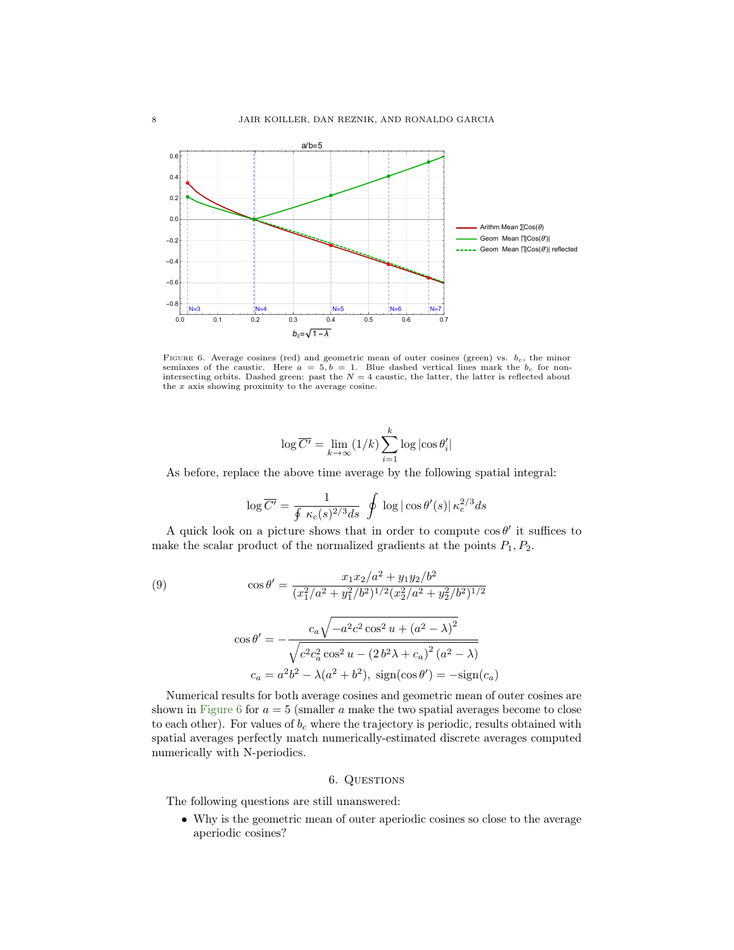<span id="page-7-1"></span>

FIGURE 6. Average cosines (red) and geometric mean of outer cosines (green) vs.  $b_c$ , the minor semiaxes of the caustic. Here  $a = 5, b = 1$ . Blue dashed vertical lines mark the  $b_c$  for nonintersecting orbits. Dashed green: past the  $N = 4$  caustic, the latter, the latter is reflected about the x axis showing proximity to the average cosine.

$$
\log \overline{C'} = \lim_{k \to \infty} (1/k) \sum_{i=1}^k \log |\cos \theta'_i|
$$

As before, replace the above time average by the following spatial integral:

$$
\log \overline{C'} = \frac{1}{\oint \kappa_c(s)^{2/3} ds} \oint \log |\cos \theta'(s)| \,\kappa_c^{2/3} ds
$$

A quick look on a picture shows that in order to compute  $\cos \theta'$  it suffices to make the scalar product of the normalized gradients at the points  $P_1, P_2$ .

(9)  
\n
$$
\cos \theta' = \frac{x_1 x_2/a^2 + y_1 y_2/b^2}{(x_1^2/a^2 + y_1^2/b^2)^{1/2} (x_2^2/a^2 + y_2^2/b^2)^{1/2}}
$$
\n
$$
\cos \theta' = -\frac{c_a \sqrt{-a^2 c^2 \cos^2 u + (a^2 - \lambda)^2}}{\sqrt{c^2 c_a^2 \cos^2 u - (2b^2 \lambda + c_a)^2 (a^2 - \lambda)}}
$$
\n
$$
c_a = a^2 b^2 - \lambda (a^2 + b^2), \text{ sign}(\cos \theta') = -\text{sign}(c_a)
$$

Numerical results for both average cosines and geometric mean of outer cosines are shown in [Figure 6](#page-7-1) for  $a = 5$  (smaller a make the two spatial averages become to close to each other). For values of  $b_c$  where the trajectory is periodic, results obtained with spatial averages perfectly match numerically-estimated discrete averages computed numerically with N-periodics.

## 6. QUESTIONS

<span id="page-7-0"></span>The following questions are still unanswered:

• Why is the geometric mean of outer aperiodic cosines so close to the average aperiodic cosines?